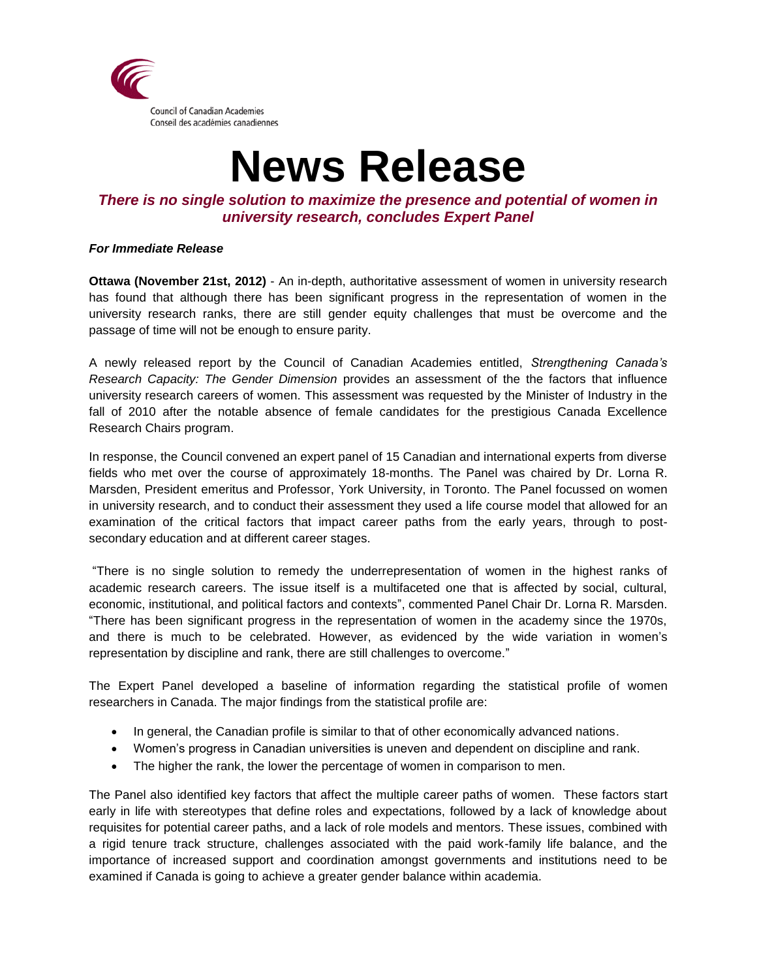

# **News Release**

## *There is no single solution to maximize the presence and potential of women in university research, concludes Expert Panel*

### *For Immediate Release*

**Ottawa (November 21st, 2012)** - An in-depth, authoritative assessment of women in university research has found that although there has been significant progress in the representation of women in the university research ranks, there are still gender equity challenges that must be overcome and the passage of time will not be enough to ensure parity.

A newly released report by the Council of Canadian Academies entitled, *Strengthening Canada's Research Capacity: The Gender Dimension* provides an assessment of the the factors that influence university research careers of women. This assessment was requested by the Minister of Industry in the fall of 2010 after the notable absence of female candidates for the prestigious Canada Excellence Research Chairs program.

In response, the Council convened an expert panel of 15 Canadian and international experts from diverse fields who met over the course of approximately 18-months. The Panel was chaired by Dr. Lorna R. Marsden, President emeritus and Professor, York University, in Toronto. The Panel focussed on women in university research, and to conduct their assessment they used a life course model that allowed for an examination of the critical factors that impact career paths from the early years, through to postsecondary education and at different career stages.

"There is no single solution to remedy the underrepresentation of women in the highest ranks of academic research careers. The issue itself is a multifaceted one that is affected by social, cultural, economic, institutional, and political factors and contexts", commented Panel Chair Dr. Lorna R. Marsden. "There has been significant progress in the representation of women in the academy since the 1970s, and there is much to be celebrated. However, as evidenced by the wide variation in women's representation by discipline and rank, there are still challenges to overcome."

The Expert Panel developed a baseline of information regarding the statistical profile of women researchers in Canada. The major findings from the statistical profile are:

- In general, the Canadian profile is similar to that of other economically advanced nations.
- Women's progress in Canadian universities is uneven and dependent on discipline and rank.
- The higher the rank, the lower the percentage of women in comparison to men.

The Panel also identified key factors that affect the multiple career paths of women. These factors start early in life with stereotypes that define roles and expectations, followed by a lack of knowledge about requisites for potential career paths, and a lack of role models and mentors. These issues, combined with a rigid tenure track structure, challenges associated with the paid work-family life balance, and the importance of increased support and coordination amongst governments and institutions need to be examined if Canada is going to achieve a greater gender balance within academia.